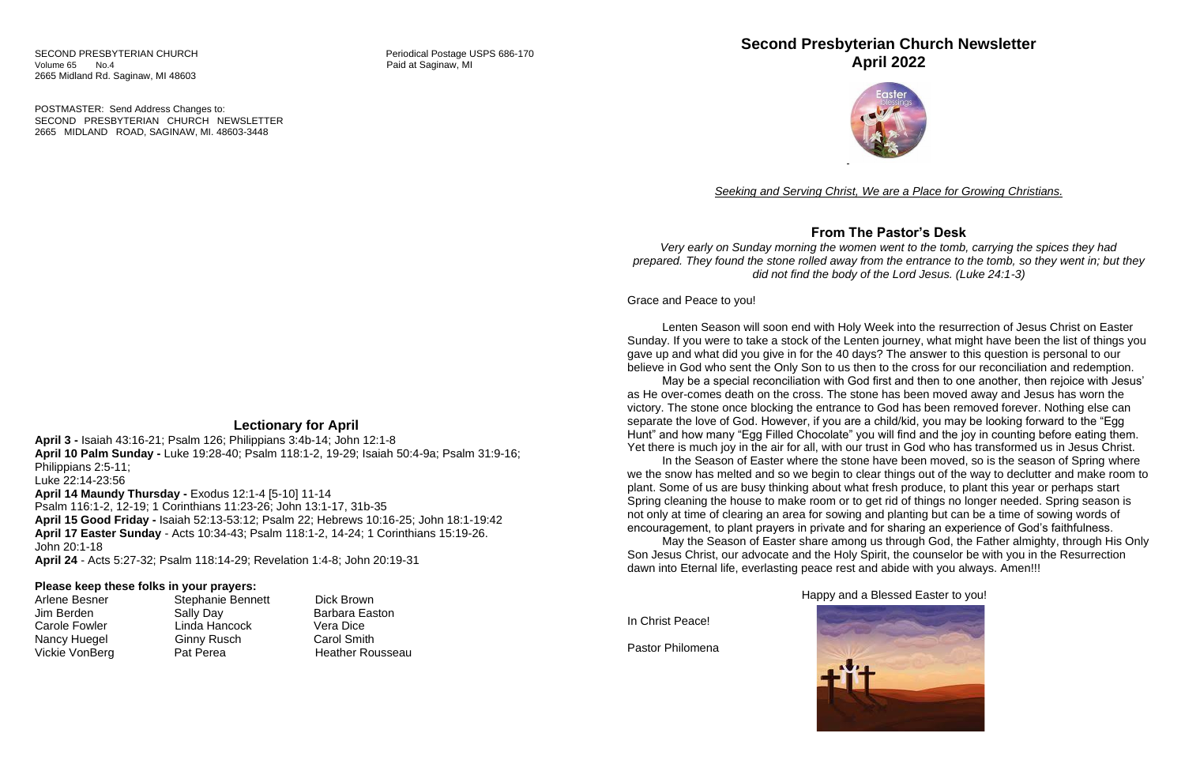POSTMASTER: Send Address Changes to: SECOND PRESBYTERIAN CHURCH NEWSLETTER 2665 MIDLAND ROAD, SAGINAW, MI. 48603-3448

## **Lectionary for April**

**April 3 -** Isaiah 43:16-21; Psalm 126; Philippians 3:4b-14; John 12:1-8 **April 10 Palm Sunday -** Luke 19:28-40; Psalm 118:1-2, 19-29; Isaiah 50:4-9a; Psalm 31:9-16; Philippians 2:5-11; Luke 22:14-23:56 **April 14 Maundy Thursday -** Exodus 12:1-4 [5-10] 11-14 Psalm 116:1-2, 12-19; 1 Corinthians 11:23-26; John 13:1-17, 31b-35 **April 15 Good Friday -** Isaiah 52:13-53:12; Psalm 22; Hebrews 10:16-25; John 18:1-19:42 **April 17 Easter Sunday** - Acts 10:34-43; Psalm 118:1-2, 14-24; 1 Corinthians 15:19-26.

John 20:1-18

**April 24** - Acts 5:27-32; Psalm 118:14-29; Revelation 1:4-8; John 20:19-31

#### **Please keep these folks in your prayers:**

| Arlene Besner        | Stephani        |
|----------------------|-----------------|
| Jim Berden           | Sally Day       |
| <b>Carole Fowler</b> | Linda Ha        |
| Nancy Huegel         | <b>Ginny Ru</b> |
| Vickie VonBerg       | Pat Pere        |
|                      |                 |

ie Bennett Dick Brown ancock Vera Dice usch Carol Smith a **Heather Rousseau** 

Barbara Easton

## **Second Presbyterian Church Newsletter April 2022**



*Seeking and Serving Christ, We are a Place for Growing Christians.*

#### **From The Pastor's Desk**

*Very early on Sunday morning the women went to the tomb, carrying the spices they had prepared. They found the stone rolled away from the entrance to the tomb, so they went in; but they did not find the body of the Lord Jesus. (Luke 24:1-3)*

Grace and Peace to you!

Lenten Season will soon end with Holy Week into the resurrection of Jesus Christ on Easter May be a special reconciliation with God first and then to one another, then rejoice with Jesus' In the Season of Easter where the stone have been moved, so is the season of Spring where May the Season of Easter share among us through God, the Father almighty, through His Only

Sunday. If you were to take a stock of the Lenten journey, what might have been the list of things you gave up and what did you give in for the 40 days? The answer to this question is personal to our believe in God who sent the Only Son to us then to the cross for our reconciliation and redemption. as He over-comes death on the cross. The stone has been moved away and Jesus has worn the victory. The stone once blocking the entrance to God has been removed forever. Nothing else can separate the love of God. However, if you are a child/kid, you may be looking forward to the "Egg Hunt" and how many "Egg Filled Chocolate" you will find and the joy in counting before eating them. Yet there is much joy in the air for all, with our trust in God who has transformed us in Jesus Christ. we the snow has melted and so we begin to clear things out of the way to declutter and make room to plant. Some of us are busy thinking about what fresh produce, to plant this year or perhaps start Spring cleaning the house to make room or to get rid of things no longer needed. Spring season is not only at time of clearing an area for sowing and planting but can be a time of sowing words of encouragement, to plant prayers in private and for sharing an experience of God's faithfulness. Son Jesus Christ, our advocate and the Holy Spirit, the counselor be with you in the Resurrection dawn into Eternal life, everlasting peace rest and abide with you always. Amen!!!

Happy and a Blessed Easter to you!

In Christ Peace!

Pastor Philomena

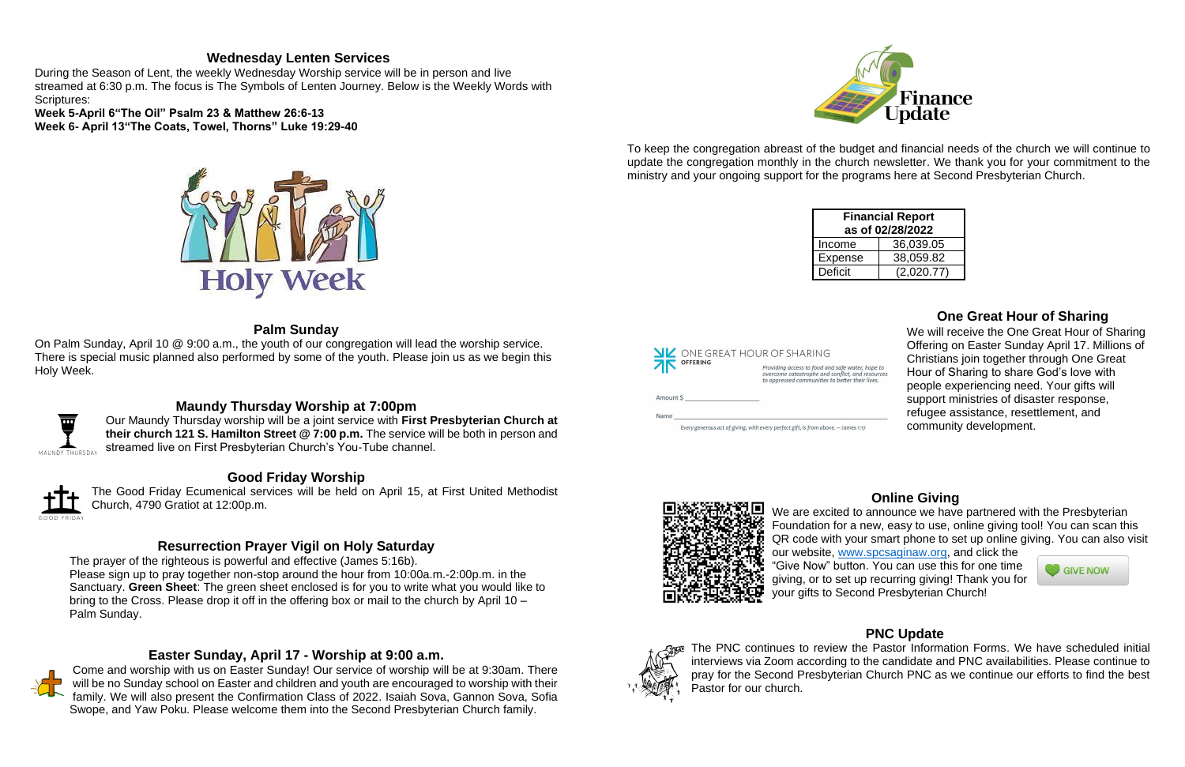#### **Wednesday Lenten Services**

During the Season of Lent, the weekly Wednesday Worship service will be in person and live streamed at 6:30 p.m. The focus is The Symbols of Lenten Journey. Below is the Weekly Words with Scriptures:

**Week 5-April 6"The Oil" Psalm 23 & Matthew 26:6-13 Week 6- April 13"The Coats, Towel, Thorns" Luke 19:29-40**



## **Palm Sunday**

On Palm Sunday, April 10 @ 9:00 a.m., the youth of our congregation will lead the worship service. There is special music planned also performed by some of the youth. Please join us as we begin this Holy Week.



## **Maundy Thursday Worship at 7:00pm**

Our Maundy Thursday worship will be a joint service with **First Presbyterian Church at their church 121 S. Hamilton Street @ 7:00 p.m.** The service will be both in person and streamed live on First Presbyterian Church's You-Tube channel.

## **Good Friday Worship**

The Good Friday Ecumenical services will be held on April 15, at First United Methodist Church, 4790 Gratiot at 12:00p.m.

## **Resurrection Prayer Vigil on Holy Saturday**

The prayer of the righteous is powerful and effective (James 5:16b). Please sign up to pray together non-stop around the hour from 10:00a.m.-2:00p.m. in the Sanctuary. **Green Sheet**: The green sheet enclosed is for you to write what you would like to bring to the Cross. Please drop it off in the offering box or mail to the church by April 10 – Palm Sunday.

## **Easter Sunday, April 17 - Worship at 9:00 a.m.**



We are excited to announce we have partnered with the Presbyterian Foundation for a new, easy to use, online giving tool! You can scan this QR code with your smart phone to set up online giving. You can also visit our website, [www.spcsaginaw.org,](http://www.spcsaginaw.org/) and click the "Give Now" button. You can use this for one time **GIVE NOW** giving, or to set up recurring giving! Thank you for your gifts to Second Presbyterian Church!



Come and worship with us on Easter Sunday! Our service of worship will be at 9:30am. There will be no Sunday school on Easter and children and youth are encouraged to worship with their family. We will also present the Confirmation Class of 2022. Isaiah Sova, Gannon Sova, Sofia Swope, and Yaw Poku. Please welcome them into the Second Presbyterian Church family.



SP The PNC continues to review the Pastor Information Forms. We have scheduled initial interviews via Zoom according to the candidate and PNC availabilities. Please continue to pray for the Second Presbyterian Church PNC as we continue our efforts to find the best Pastor for our church.

To keep the congregation abreast of the budget and financial needs of the church we will continue to update the congregation monthly in the church newsletter. We thank you for your commitment to the ministry and your ongoing support for the programs here at Second Presbyterian Church.

| <b>Financial Report</b><br>as of 02/28/2022 |            |  |  |  |
|---------------------------------------------|------------|--|--|--|
| Income                                      | 36,039.05  |  |  |  |
| <b>Expense</b>                              | 38,059.82  |  |  |  |
| <b>Deficit</b>                              | (2,020.77) |  |  |  |



Every generous act of giving, with every perfect gift, is from above. - James 1:17



#### **One Great Hour of Sharing**

We will receive the One Great Hour of Sharing Offering on Easter Sunday April 17. Millions of Christians join together through One Great Hour of Sharing to share God's love with people experiencing need. Your gifts will support ministries of disaster response, refugee assistance, resettlement, and community development.

#### **Online Giving**



## **PNC Update**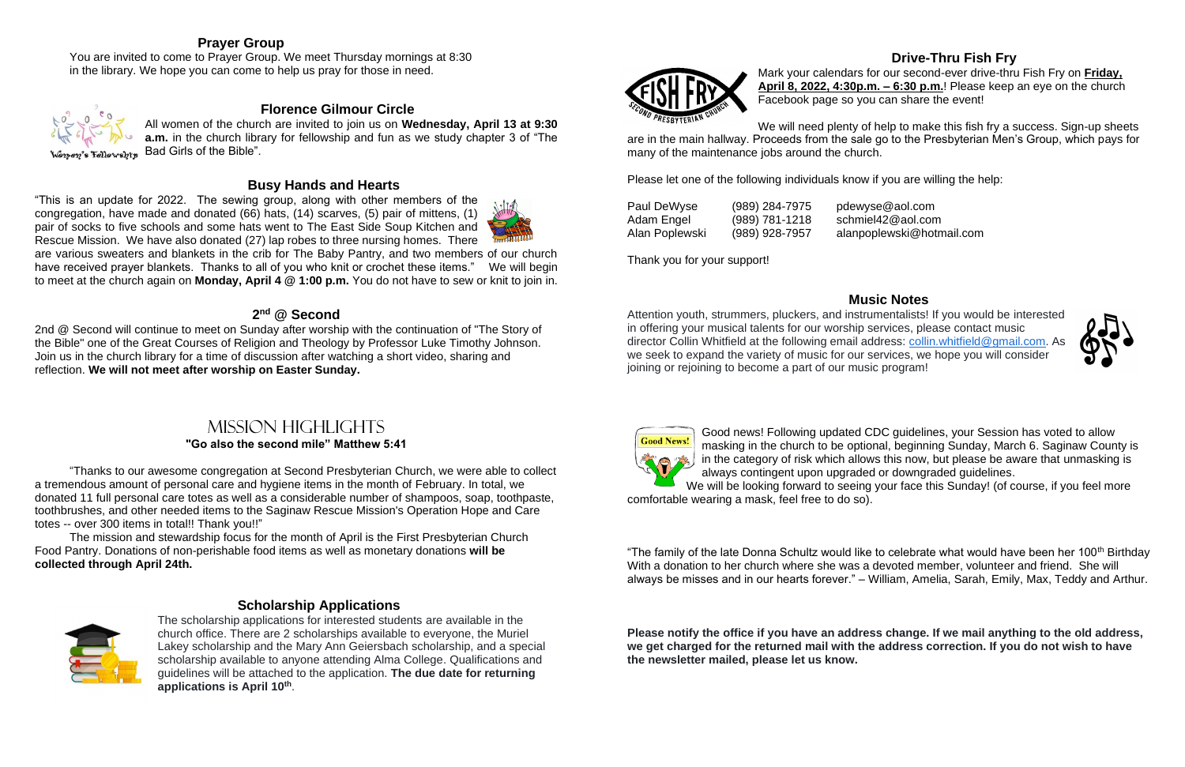## **Prayer Group**

You are invited to come to Prayer Group. We meet Thursday mornings at 8:30 in the library. We hope you can come to help us pray for those in need.



Fellowship

#### **Florence Gilmour Circle**

All women of the church are invited to join us on **Wednesday, April 13 at 9:30 a.m.** in the church library for fellowship and fun as we study chapter 3 of "The Bad Girls of the Bible".

#### **Busy Hands and Hearts**

"This is an update for 2022. The sewing group, along with other members of the congregation, have made and donated (66) hats, (14) scarves, (5) pair of mittens, (1) pair of socks to five schools and some hats went to The East Side Soup Kitchen and Rescue Mission. We have also donated (27) lap robes to three nursing homes. There



are various sweaters and blankets in the crib for The Baby Pantry, and two members of our church have received prayer blankets. Thanks to all of you who knit or crochet these items." We will begin to meet at the church again on **Monday, April 4 @ 1:00 p.m.** You do not have to sew or knit to join in.

#### **2 nd @ Second**

2nd @ Second will continue to meet on Sunday after worship with the continuation of "The Story of the Bible" one of the Great Courses of Religion and Theology by Professor Luke Timothy Johnson. Join us in the church library for a time of discussion after watching a short video, sharing and reflection. **We will not meet after worship on Easter Sunday.**

# Mission highlights

#### **"Go also the second mile" Matthew 5:41**

"Thanks to our awesome congregation at Second Presbyterian Church, we were able to collect a tremendous amount of personal care and hygiene items in the month of February. In total, we donated 11 full personal care totes as well as a considerable number of shampoos, soap, toothpaste, toothbrushes, and other needed items to the Saginaw Rescue Mission's Operation Hope and Care totes -- over 300 items in total!! Thank you!!"

Good news! Following updated CDC guidelines, your Session has voted to allow masking in the church to be optional, beginning Sunday, March 6. Saginaw County is in the category of risk which allows this now, but please be aware that unmasking is always contingent upon upgraded or downgraded guidelines. We will be looking forward to seeing your face this Sunday! (of course, if you feel more

The mission and stewardship focus for the month of April is the First Presbyterian Church Food Pantry. Donations of non-perishable food items as well as monetary donations **will be collected through April 24th.**



#### **Scholarship Applications**

"The family of the late Donna Schultz would like to celebrate what would have been her 100<sup>th</sup> Birthday With a donation to her church where she was a devoted member, volunteer and friend. She will always be misses and in our hearts forever." – William, Amelia, Sarah, Emily, Max, Teddy and Arthur.

The scholarship applications for interested students are available in the church office. There are 2 scholarships available to everyone, the Muriel Lakey scholarship and the Mary Ann Geiersbach scholarship, and a special scholarship available to anyone attending Alma College. Qualifications and guidelines will be attached to the application. **The due date for returning applications is April 10th** .





#### **Drive-Thru Fish Fry**

Mark your calendars for our second-ever drive-thru Fish Fry on **Friday, April 8, 2022, 4:30p.m. – 6:30 p.m.**! Please keep an eye on the church Facebook page so you can share the event!

We will need plenty of help to make this fish fry a success. Sign-up sheets are in the main hallway. Proceeds from the sale go to the Presbyterian Men's Group, which pays for many of the maintenance jobs around the church.

Please let one of the following individuals know if you are willing the help:

| Paul DeWyse    | (989) 284-7975   | pdewyse@aol.com           |
|----------------|------------------|---------------------------|
| Adam Engel     | $(989)$ 781-1218 | schmiel42@aol.com         |
| Alan Poplewski | (989) 928-7957   | alanpoplewski@hotmail.com |

Thank you for your support!

## **Music Notes**



Attention youth, strummers, pluckers, and instrumentalists! If you would be interested in offering your musical talents for our worship services, please contact music director Collin Whitfield at the following email address: [collin.whitfield@gmail.com.](mailto:collin.whitfield@gmail.com) As we seek to expand the variety of music for our services, we hope you will consider joining or rejoining to become a part of our music program!



comfortable wearing a mask, feel free to do so).

**Please notify the office if you have an address change. If we mail anything to the old address, we get charged for the returned mail with the address correction. If you do not wish to have the newsletter mailed, please let us know.**